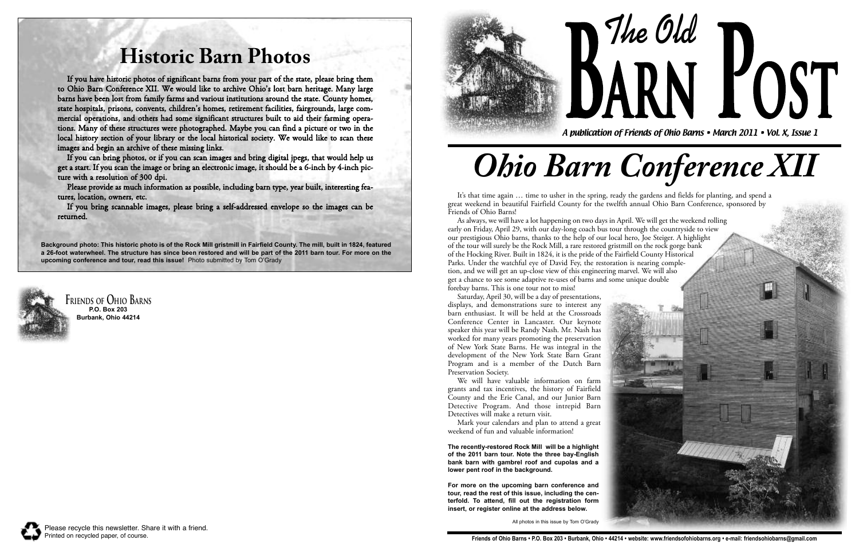**Friends of Ohio Barns P.O. Box 203 Burbank, Ohio 44214**





**The Old** A publication of Friends of Ohio Barns • March 2011 • Vol. X, Issue 1 **POST** 

*Ohio Barn Conference XII*

## **Historic Barn Photos**

If you have historic photos of significant barns from your part of the state, please bring them to Ohio Barn Conference XII. We would like to archive Ohio's lost barn heritage. Many large barns have been lost from family farms and various institutions around the state. County homes, state hospitals, prisons, convents, children's homes, retirement facilities, fairgrounds, large commercial operations, and others had some significant structures built to aid their farming operations. Many of these structures were photographed. Maybe you can find a picture or two in the local history section of your library or the local historical society. We would like to scan these images and begin an archive of these missing links.

If you can bring photos, or if you can scan images and bring digital jpegs, that would help us get a start. If you scan the image or bring an electronic image, it should be a 6-inch by 4-inch picture with a resolution of 300 dpi.

Please provide as much information as possible, including barn type, year built, interesting features, location, owners, etc.

If you bring scannable images, please bring a self-addressed envelope so the images can be returned.

It's that time again … time to usher in the spring, ready the gardens and fields for planting, and spend a great weekend in beautiful Fairfield County for the twelfth annual Ohio Barn Conference, sponsored by Friends of Ohio Barns!

As always, we will have a lot happening on two days in April. We will get the weekend rolling early on Friday, April 29, with our day-long coach bus tour through the countryside to view our prestigious Ohio barns, thanks to the help of our local hero, Joe Steiger. A highlight of the tour will surely be the Rock Mill, a rare restored gristmill on the rock gorge bank of the Hocking River. Built in 1824, it is the pride of the Fairfield County Historical Parks. Under the watchful eye of David Fey, the restoration is nearing completion, and we will get an up-close view of this engineering marvel. We will also get a chance to see some adaptive re-uses of barns and some unique double forebay barns. This is one tour not to miss!

Saturday, April 30, will be a day of presentations, displays, and demonstrations sure to interest any barn enthusiast. It will be held at the Crossroads Conference Center in Lancaster. Our keynote speaker this year will be Randy Nash. Mr. Nash has worked for many years promoting the preservation of New York State Barns. He was integral in the development of the New York State Barn Grant Program and is a member of the Dutch Barn Preservation Society.

We will have valuable information on farm grants and tax incentives, the history of Fairfield County and the Erie Canal, and our Junior Barn Detective Program. And those intrepid Barn Detectives will make a return visit.

Mark your calendars and plan to attend a great weekend of fun and valuable information!

**Background photo: This historic photo is of the Rock Mill gristmill in Fairfield County. The mill, built in 1824, featured a 26-foot waterwheel. The structure has since been restored and will be part of the 2011 barn tour. For more on the upcoming conference and tour, read this issue!** Photo submitted by Tom O'Grady



**The recently-restored Rock Mill will be a highlight of the 2011 barn tour. Note the three bay-English bank barn with gambrel roof and cupolas and a lower pent roof in the background.** 

**For more on the upcoming barn conference and tour, read the rest of this issue, including the centerfold. To attend, fill out the registration form insert, or register online at the address below.**

All photos in this issue by Tom O'Grady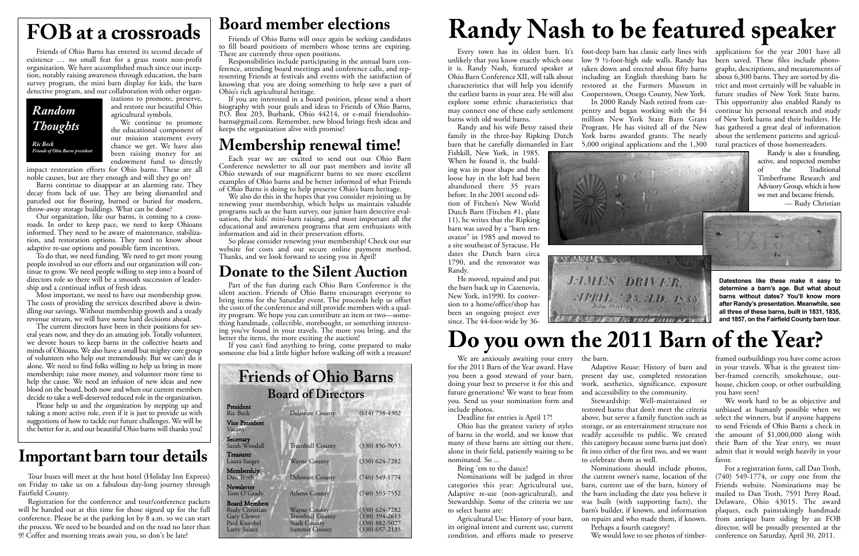Friends of Ohio Barns has entered its second decade of existence … no small feat for a grass roots non-profit organization. We have accomplished much since our inception, notably raising awareness through education, the barn survey program, the mini barn display for kids, the barn detective program, and our collaboration with other organ-

izations to promote, preserve, and restore our beautiful Ohio agricultural symbols.

We continue to promote the educational component of our mission statement every chance we get. We have also been raising money for an endowment fund to directly

impact restoration efforts for Ohio barns. These are all noble causes, but are they enough and will they go on?

Barns continue to disappear at an alarming rate. They decay from lack of use. They are being dismantled and parceled out for flooring, burned or buried for modern, throw-away storage buildings. What can be done?

Our organization, like our barns, is coming to a crossroads. In order to keep pace, we need to keep Ohioans informed. They need to be aware of maintenance, stabilization, and restoration options. They need to know about adaptive re-use options and possible farm incentives.

To do that, we need funding. We need to get more young people involved so our efforts and our organization will continue to grow. We need people willing to step into a board of directors role so there will be a smooth succession of leadership and a continual influx of fresh ideas.

Most important, we need to have our membership grow. The costs of providing the services described above is dwindling our savings. Without membership growth and a steady revenue stream, we will have some hard decisions ahead.

There are currently three open positions.<br>Responsibilities include participating in the annual barn conference, attending board meetings and conference calls, and representing Friends at festivals and events with the satisfaction of knowing that you are doing something to help save a part of

If you are interested in a board position, please send a short biography with your goals and ideas to Friends of Ohio Barns, P.O. Box 203, Burbank, Ohio 44214, or e-mail friendsohiobarns@gmail.com. Remember, new blood brings fresh ideas and keeps the organization alive with promise!

Each year we are excited to send out our Ohio Barn Conference newsletter to all our past members and invite all Ohio stewards of our magnificent barns to see more excellent examples of Ohio barns and be better informed of what Friends of Ohio Barns is doing to help preserve Ohio's barn heritage.

We also do this in the hopes that you consider rejoining us by renewing your membership, which helps us maintain valuable programs such as the barn survey, our junior barn detective evaluation, the kids' mini-barn raising, and most important all the educational and awareness programs that arm enthusiasts with information and aid in their preservation efforts.<br>So please consider renewing your membership! Check out our

The current directors have been in their positions for several years now, and they do an amazing job. Totally volunteer, we devote hours to keep barns in the collective hearts and minds of Ohioans. We also have a small but mighty core group of volunteers who help out tremendously. But we can't do it alone. We need to find folks willing to help us bring in more membership; raise more money, and volunteer more time to help the cause. We need an infusion of new ideas and new blood on the board, both now and when our current members decide to take a well-deserved reduced role in the organization.

website for costs and our secure online payment method. Thanks, and we look forward to seeing you in April!

Part of the fun during each Ohio Barn Conference is the silent auction. Friends of Ohio Barns encourages everyone to bring items for the Saturday event. The proceeds help us offset the costs of the conference and still provide members with a quality program. We hope you can contribute an item or two—something handmade, collectible, storebought, or something interesting you've found in your travels. The more you bring, and the better the items, the more exciting the auction!

If you can't find anything to bring, come prepared to make someone else bid a little higher before walking off with a treasure!

Please help us and the organization by stepping up and taking a more active role, even if it is just to provide us with suggestions of how to tackle our future challenges. We will be the better for it, and our beautiful Ohio barns will thanks you!

#### **Friends of Ohio Barns Board of Directors**

| President<br><b>Ric Beck</b>                                                                 | <b>Delaware County</b>                                                                       | $(614)$ 738-4302                                                               |
|----------------------------------------------------------------------------------------------|----------------------------------------------------------------------------------------------|--------------------------------------------------------------------------------|
| <b>Vice President</b><br>Vacant                                                              |                                                                                              |                                                                                |
| Secretary<br>Sarah Woodall                                                                   | <b>Trumbull County</b>                                                                       | $(330) 856 - 9053$                                                             |
| <b>Treasurer</b><br>Laura Saeger                                                             | <b>Wayne County</b>                                                                          | $(330)$ $624 - 7282$                                                           |
| Membership<br>Dan Troth                                                                      | <b>Delaware County</b>                                                                       | $(740)$ 549-1774                                                               |
| Newsletter<br>Tom O'Grady                                                                    | <b>Athens County</b>                                                                         | $(740)$ 593-7552                                                               |
| <b>Board Members</b><br>Rudy Christian<br><b>Gary Clower</b><br>Paul Knoebel<br>Larry Sulzer | <b>Wayne County</b><br><b>Trumbull County</b><br><b>Stark County</b><br><b>Summit County</b> | $(330)$ 624-7282<br>$(330)$ 394-2613<br>$(330) 882 - 5027$<br>$(330)$ 657-2135 |

# **FOB at a crossroads** Board member elections<br>**Randy Nash to be featured speaker**

*Random Thoughts Ric Beck*

*Friends of Ohio Barns president*

taken down and erected about fifty barns including an English threshing barn he restored at the Farmers Museum in Cooperstown, Otsego County, New York. In 2000 Randy Nash retired from carpentry and began working with the \$4 million New York State Barn Grant of New York barns and their builders. He Program. He has visited all of the New York barns awarded grants. The nearly

### **Membership renewal time!**

#### **Donate to the Silent Auction**

unlikely that you know exactly which one it is. Randy Nash, featured speaker at Ohio Barn Conference XII, will talk about characteristics that will help you identify the earliest barns in your area. He will also explore some ethnic characteristics that may connect one of these early settlement barns with old world barns.

Randy and his wife Betsy raised their family in the three-bay Ripking Dutch barn that he carefully dismantled in East

Fishkill, New York, in 1985. When he found it, the building was in poor shape and the loose hay in the loft had been abandoned there 35 years before. In the 2001 second edition of Fitchen's New World Dutch Barn (Fitchen #1, plate 11), he writes that the Ripking barn was saved by a "barn renovator" in 1985 and moved to a site southeast of Syracuse. He dates the Dutch barn circa 1790, and the renovator was Randy.

Every town has its oldest barn. It's foot-deep barn has classic early lines with low 9 ½-foot-high side walls. Randy has 5,000 original applications and the 1,300





He moved, repaired and put the barn back up in Cazenovia, New York, in1990. Its conversion to a home/office/shop has been an ongoing project ever since. The 44-foot-wide by 36applications for the year 2001 have all been saved. These files include photographs, descriptions, and measurements of about 6,300 barns. They are sorted by district and most certainly will be valuable in future studies of New York State barns. This opportunity also enabled Randy to continue his personal research and study has gathered a great deal of information about the settlement patterns and agricultural practices of those homesteaders.

Randy is also a founding, active, and respected member of the Traditional Timberframe Research and Advisory Group, which is how we met and became friends.

— Rudy Christian

We are anxiously awaiting your entry for the 2011 Barn of the Year award. Have you been a good steward of your barn, doing your best to preserve it for this and future generations? We want to hear from you. Send us your nomination form and include photos.

Deadline for entries is April 17!

Ohio has the greatest variety of styles of barns in the world, and we know that many of these barns are sitting out there, alone in their field, patiently waiting to be nominated. So ...

Bring 'em to the dance!

Nominations will be judged in three categories this year: Agricultural use, Adaptive re-use (non-agricultural), and Stewardship. Some of the criteria we use to select barns are:

Agricultural Use: History of your barn, its original intent and current use, current condition, and efforts made to preserve

the barn.

Adaptive Reuse: History of barn and present day use, completed restoration

work, aesthetics, significance, exposure and accessibility to the community. Stewardship: Well-maintained or restored barns that don't meet the criteria above, but serve a family function such as storage, or an entertainment structure not readily accessible to public. We created this category because some barns just don't fit into either of the first two, and we want to celebrate them as well.

framed outbuildings you have come across in your travels. What is the greatest timber-framed corncrib, smokehouse, outhouse, chicken coop, or other outbuilding you have seen?

Nominations should include photos, the current owner's name, location of the barn, current use of the barn, history of the barn including the date you believe it was built (with supporting facts), the barn's builder, if known, and information on repairs and who made them, if known. Perhaps a fourth category? We would love to see photos of timber-For a registration form, call Dan Troth, (740) 549-1774, or copy one from the Friends website. Nominations may be mailed to Dan Troth, 7591 Perry Road, Delaware, Ohio 43015. The award plaques, each painstakingly handmade from antique barn siding by an FOB director, will be proudly presented at the conference on Saturday, April 30, 2011.

We work hard to be as objective and unbiased as humanly possible when we select the winners, but if anyone happens to send Friends of Ohio Barns a check in the amount of \$1,000,000 along with their Barn of the Year entry, we must admit that it would weigh heavily in your favor.

## **Do you own the 2011 Barn of the Year?**

**Datestones like these make it easy to determine a barn's age. But what about barns without dates? You'll know more after Randy's presentation. Meanwhile, see all three of these barns, built in 1831, 1835, and 1857, on the Fairfield County barn tour.**

### **Important barn tour details**

Tour buses will meet at the host hotel (Holiday Inn Express) on Friday to take us on a fabulous day-long journey through Fairfield County.

Registration for the conference and tour/conference packets will be handed out at this time for those signed up for the full conference. Please be at the parking lot by 8 a.m. so we can start the process. We need to be boarded and on the road no later than 9! Coffee and morning treats await you, so don't be late!

to fill board positions of members whose terms are expiring.